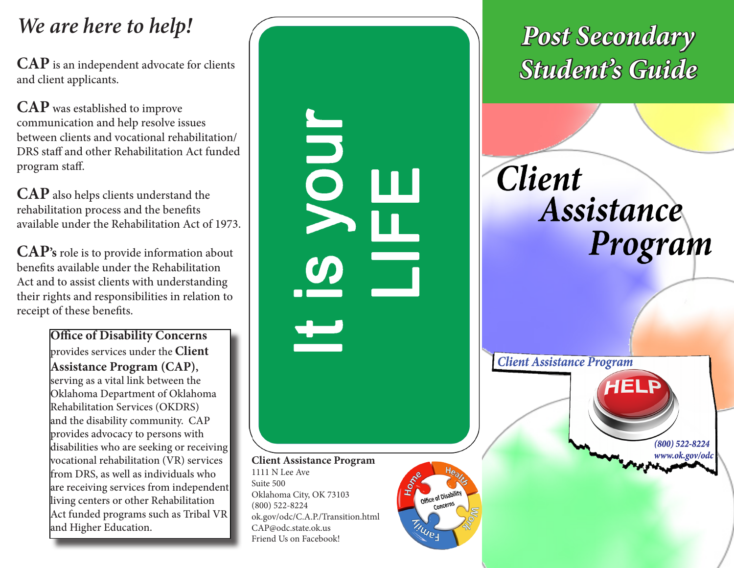## *We are here to help!*

**CAP** is an independent advocate for clients **CAP** is an independent advocate for clients **CAP** is an independent advocate for clients **CAP** is an independent advocate for clients **CAP** is an independent and in the set of and client applicants.

**CAP** was established to improve communication and help resolve issues between clients and vocational rehabilitation/ DRS staff and other Rehabilitation Act funded program staff.

**CAP** also helps clients understand the rehabilitation process and the benefits available under the Rehabilitation Act of 1973.

**CAP's** role is to provide information about benefits available under the Rehabilitation Act and to assist clients with understanding their rights and responsibilities in relation to receipt of these benefits.

> **Office of Disability Concerns**  provides services under the **Client Assistance Program (CAP),** serving as a vital link between the Oklahoma Department of Oklahoma Rehabilitation Services (OKDRS) and the disability community. CAP provides advocacy to persons with disabilities who are seeking or receiving vocational rehabilitation (VR) services from DRS, as well as individuals who are receiving services from independent living centers or other Rehabilitation Act funded programs such as Tribal VR and Higher Education.



CAP@odc.state.ok.us Friend Us on Facebook! *Post Secondary* 

**Client** Assistance Program

> $(800)$  522-8224 www.ok.gov/odc

**Client Assistance Program** 

**TINUES**